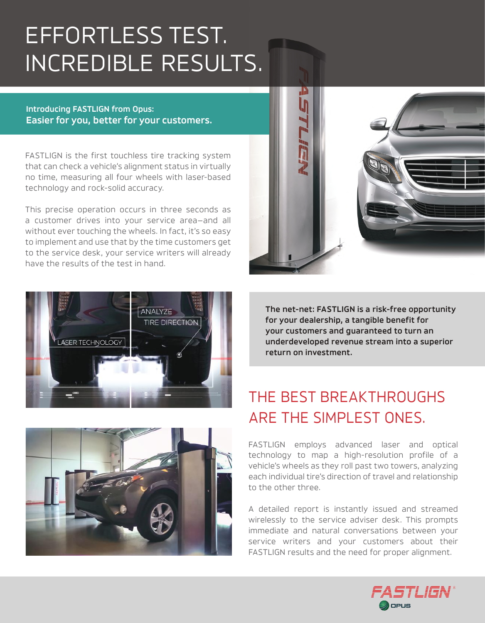# EFFORTLESS TEST. INCREDIBLE RESULTS.

**Introducing FASTLIGN from Opus: Easier for you, better for your customers.**

FASTLIGN is the first touchless tire tracking system that can check a vehicle's alignment status in virtually no time, measuring all four wheels with laser-based technology and rock-solid accuracy.

This precise operation occurs in three seconds as a customer drives into your service area—and all without ever touching the wheels. In fact, it's so easy to implement and use that by the time customers get to the service desk, your service writers will already have the results of the test in hand.





**The net-net: FASTLIGN is a risk-free opportunity for your dealership, a tangible benefit for your customers and guaranteed to turn an underdeveloped revenue stream into a superior return on investment.** 



## THE BEST BREAKTHROUGHS ARE THE SIMPLEST ONES.

FASTLIGN employs advanced laser and optical technology to map a high-resolution profile of a vehicle's wheels as they roll past two towers, analyzing each individual tire's direction of travel and relationship to the other three.

A detailed report is instantly issued and streamed wirelessly to the service adviser desk. This prompts immediate and natural conversations between your service writers and your customers about their FASTLIGN results and the need for proper alignment.